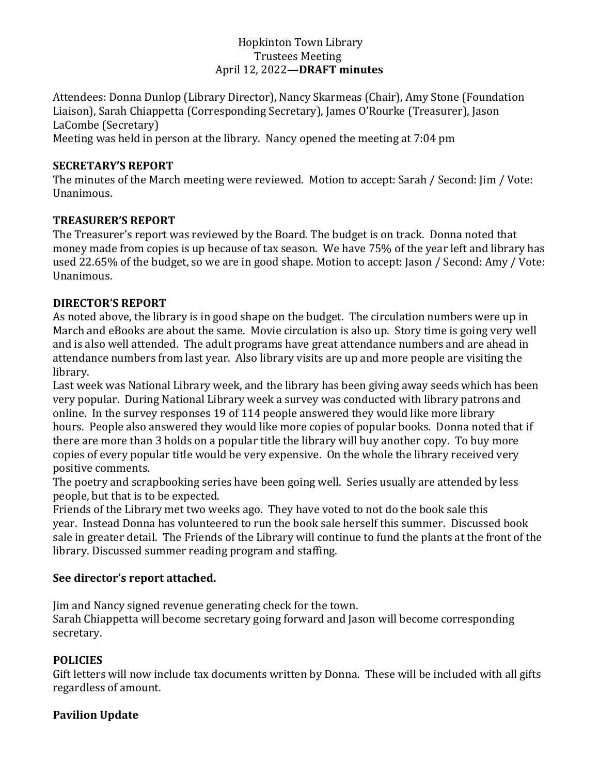#### Hopkinton Town Library Trustees Meeting April 12, 2022**—DRAFT minutes**

Attendees: Donna Dunlop (Library Director), Nancy Skarmeas (Chair), Amy Stone (Foundation Liaison), Sarah Chiappetta (Corresponding Secretary), James O'Rourke (Treasurer), Jason LaCombe (Secretary) Meeting was held in person at the library. Nancy opened the meeting at 7:04 pm

#### **SECRETARY'S REPORT**

The minutes of the March meeting were reviewed. Motion to accept: Sarah / Second: Jim / Vote: Unanimous.

## **TREASURER'S REPORT**

The Treasurer's report was reviewed by the Board. The budget is on track. Donna noted that money made from copies is up because of tax season. We have 75% of the year left and library has used 22.65% of the budget, so we are in good shape. Motion to accept: Jason / Second: Amy / Vote: Unanimous.

## **DIRECTOR'S REPORT**

As noted above, the library is in good shape on the budget. The circulation numbers were up in March and eBooks are about the same. Movie circulation is also up. Story time is going very well and is also well attended. The adult programs have great attendance numbers and are ahead in attendance numbers from last year. Also library visits are up and more people are visiting the library.

Last week was National Library week, and the library has been giving away seeds which has been very popular. During National Library week a survey was conducted with library patrons and online. In the survey responses 19 of 114 people answered they would like more library hours. People also answered they would like more copies of popular books. Donna noted that if there are more than 3 holds on a popular title the library will buy another copy. To buy more copies of every popular title would be very expensive. On the whole the library received very positive comments.

The poetry and scrapbooking series have been going well. Series usually are attended by less people, but that is to be expected.

Friends of the Library met two weeks ago. They have voted to not do the book sale this year. Instead Donna has volunteered to run the book sale herself this summer. Discussed book sale in greater detail. The Friends of the Library will continue to fund the plants at the front of the library. Discussed summer reading program and staffing.

## **See director's report attached.**

Jim and Nancy signed revenue generating check for the town.

Sarah Chiappetta will become secretary going forward and Jason will become corresponding secretary.

## **POLICIES**

Gift letters will now include tax documents written by Donna. These will be included with all gifts regardless of amount.

## **Pavilion Update**